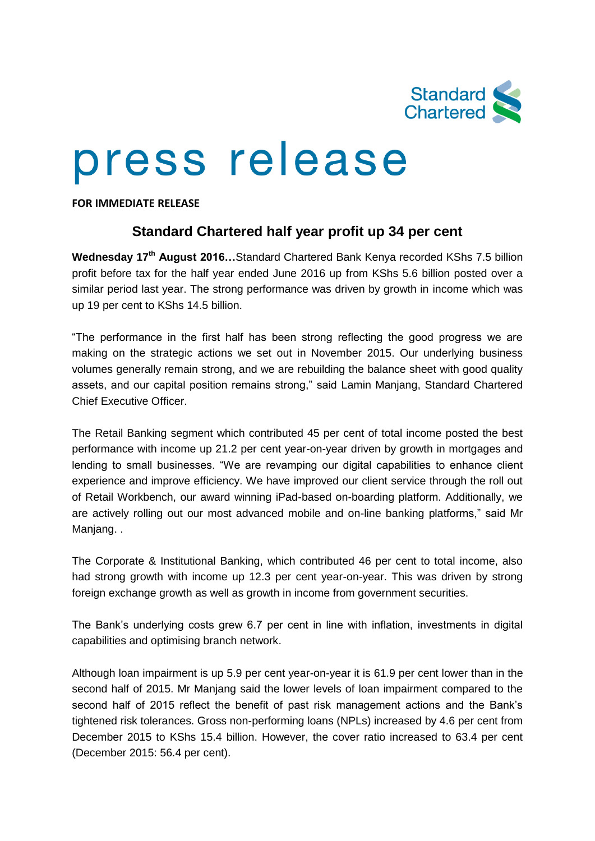

## press release

**FOR IMMEDIATE RELEASE**

## **Standard Chartered half year profit up 34 per cent**

**Wednesday 17th August 2016…**Standard Chartered Bank Kenya recorded KShs 7.5 billion profit before tax for the half year ended June 2016 up from KShs 5.6 billion posted over a similar period last year. The strong performance was driven by growth in income which was up 19 per cent to KShs 14.5 billion.

"The performance in the first half has been strong reflecting the good progress we are making on the strategic actions we set out in November 2015. Our underlying business volumes generally remain strong, and we are rebuilding the balance sheet with good quality assets, and our capital position remains strong," said Lamin Manjang, Standard Chartered Chief Executive Officer.

The Retail Banking segment which contributed 45 per cent of total income posted the best performance with income up 21.2 per cent year-on-year driven by growth in mortgages and lending to small businesses. "We are revamping our digital capabilities to enhance client experience and improve efficiency. We have improved our client service through the roll out of Retail Workbench, our award winning iPad-based on-boarding platform. Additionally, we are actively rolling out our most advanced mobile and on-line banking platforms," said Mr Manjang..

The Corporate & Institutional Banking, which contributed 46 per cent to total income, also had strong growth with income up 12.3 per cent year-on-year. This was driven by strong foreign exchange growth as well as growth in income from government securities.

The Bank's underlying costs grew 6.7 per cent in line with inflation, investments in digital capabilities and optimising branch network.

Although loan impairment is up 5.9 per cent year-on-year it is 61.9 per cent lower than in the second half of 2015. Mr Manjang said the lower levels of loan impairment compared to the second half of 2015 reflect the benefit of past risk management actions and the Bank's tightened risk tolerances. Gross non-performing loans (NPLs) increased by 4.6 per cent from December 2015 to KShs 15.4 billion. However, the cover ratio increased to 63.4 per cent (December 2015: 56.4 per cent).